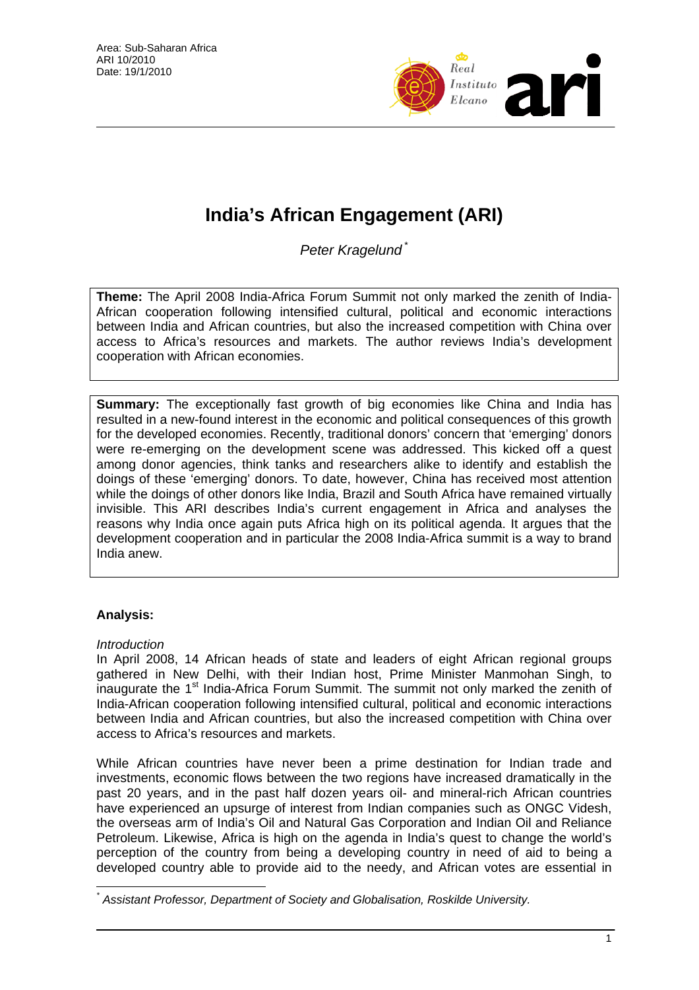

# **India's African Engagement (ARI)**

*Peter Kragelund* [\\*](#page-0-0)

**Theme:** The April 2008 India-Africa Forum Summit not only marked the zenith of India-African cooperation following intensified cultural, political and economic interactions between India and African countries, but also the increased competition with China over access to Africa's resources and markets. The author reviews India's development cooperation with African economies.

**Summary:** The exceptionally fast growth of big economies like China and India has resulted in a new-found interest in the economic and political consequences of this growth for the developed economies. Recently, traditional donors' concern that 'emerging' donors were re-emerging on the development scene was addressed. This kicked off a quest among donor agencies, think tanks and researchers alike to identify and establish the doings of these 'emerging' donors. To date, however, China has received most attention while the doings of other donors like India, Brazil and South Africa have remained virtually invisible. This ARI describes India's current engagement in Africa and analyses the reasons why India once again puts Africa high on its political agenda. It argues that the development cooperation and in particular the 2008 India-Africa summit is a way to brand India anew.

# **Analysis:**

# *Introduction*

In April 2008, 14 African heads of state and leaders of eight African regional groups gathered in New Delhi, with their Indian host, Prime Minister Manmohan Singh, to inaugurate the 1<sup>st</sup> India-Africa Forum Summit. The summit not only marked the zenith of India-African cooperation following intensified cultural, political and economic interactions between India and African countries, but also the increased competition with China over access to Africa's resources and markets.

While African countries have never been a prime destination for Indian trade and investments, economic flows between the two regions have increased dramatically in the past 20 years, and in the past half dozen years oil- and mineral-rich African countries have experienced an upsurge of interest from Indian companies such as ONGC Videsh, the overseas arm of India's Oil and Natural Gas Corporation and Indian Oil and Reliance Petroleum. Likewise, Africa is high on the agenda in India's quest to change the world's perception of the country from being a developing country in need of aid to being a developed country able to provide aid to the needy, and African votes are essential in

<span id="page-0-0"></span> $\overline{a}$ *\* Assistant Professor, Department of Society and Globalisation, Roskilde University.*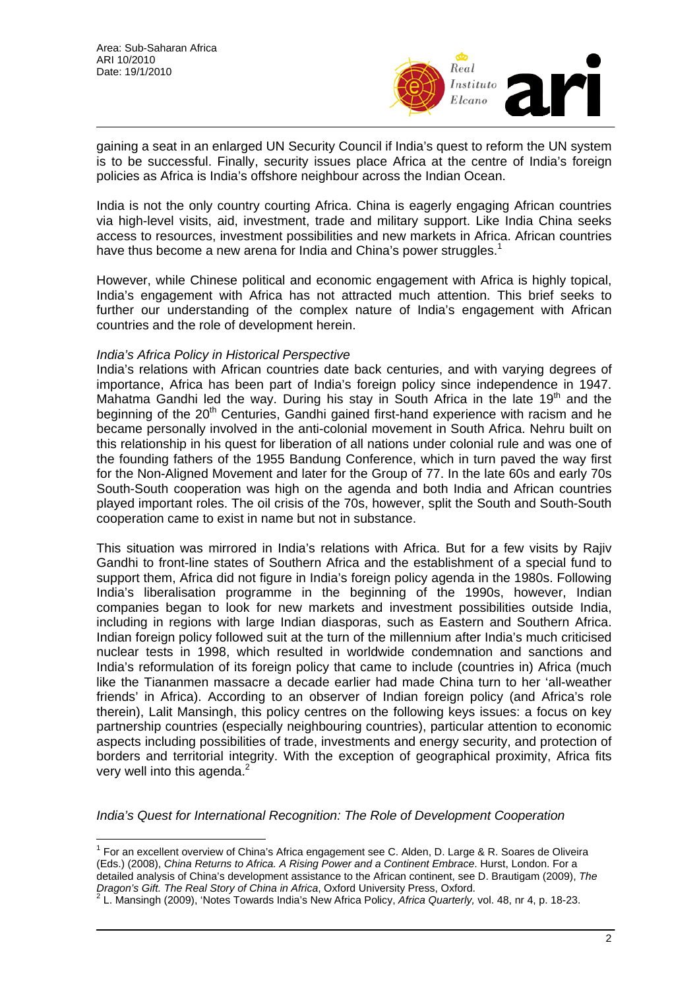

gaining a seat in an enlarged UN Security Council if India's quest to reform the UN system is to be successful. Finally, security issues place Africa at the centre of India's foreign policies as Africa is India's offshore neighbour across the Indian Ocean.

India is not the only country courting Africa. China is eagerly engaging African countries via high-level visits, aid, investment, trade and military support. Like India China seeks access to resources, investment possibilities and new markets in Africa. African countries have thus become a new arena for India and China's power struggles.<sup>1</sup>

However, while Chinese political and economic engagement with Africa is highly topical, India's engagement with Africa has not attracted much attention. This brief seeks to further our understanding of the complex nature of India's engagement with African countries and the role of development herein.

#### *India's Africa Policy in Historical Perspective*

India's relations with African countries date back centuries, and with varying degrees of importance, Africa has been part of India's foreign policy since independence in 1947. Mahatma Gandhi led the way. During his stay in South Africa in the late  $19<sup>th</sup>$  and the beginning of the 20<sup>th</sup> Centuries, Gandhi gained first-hand experience with racism and he became personally involved in the anti-colonial movement in South Africa. Nehru built on this relationship in his quest for liberation of all nations under colonial rule and was one of the founding fathers of the 1955 Bandung Conference, which in turn paved the way first for the Non-Aligned Movement and later for the Group of 77. In the late 60s and early 70s South-South cooperation was high on the agenda and both India and African countries played important roles. The oil crisis of the 70s, however, split the South and South-South cooperation came to exist in name but not in substance.

This situation was mirrored in India's relations with Africa. But for a few visits by Rajiv Gandhi to front-line states of Southern Africa and the establishment of a special fund to support them, Africa did not figure in India's foreign policy agenda in the 1980s. Following India's liberalisation programme in the beginning of the 1990s, however, Indian companies began to look for new markets and investment possibilities outside India, including in regions with large Indian diasporas, such as Eastern and Southern Africa. Indian foreign policy followed suit at the turn of the millennium after India's much criticised nuclear tests in 1998, which resulted in worldwide condemnation and sanctions and India's reformulation of its foreign policy that came to include (countries in) Africa (much like the Tiananmen massacre a decade earlier had made China turn to her 'all-weather friends' in Africa). According to an observer of Indian foreign policy (and Africa's role therein), Lalit Mansingh, this policy centres on the following keys issues: a focus on key partnership countries (especially neighbouring countries), particular attention to economic aspects including possibilities of trade, investments and energy security, and protection of borders and territorial integrity. With the exception of geographical proximity, Africa fits very well into this agenda.<sup>[2](#page-1-1)</sup>

*India's Quest for International Recognition: The Role of Development Cooperation* 

<span id="page-1-0"></span> 1 For an excellent overview of China's Africa engagement see C. Alden, D. Large & R. Soares de Oliveira (Eds.) (2008), *China Returns to Africa. A Rising Power and a Continent Embrace*. Hurst, London. For a detailed analysis of China's development assistance to the African continent, see D. Brautigam (2009), *The Dragon's Gift. The Real Story of China in Africa*, Oxford University Press, Oxford. 2

<span id="page-1-1"></span>L. Mansingh (2009), 'Notes Towards India's New Africa Policy, *Africa Quarterly,* vol. 48, nr 4, p. 18-23.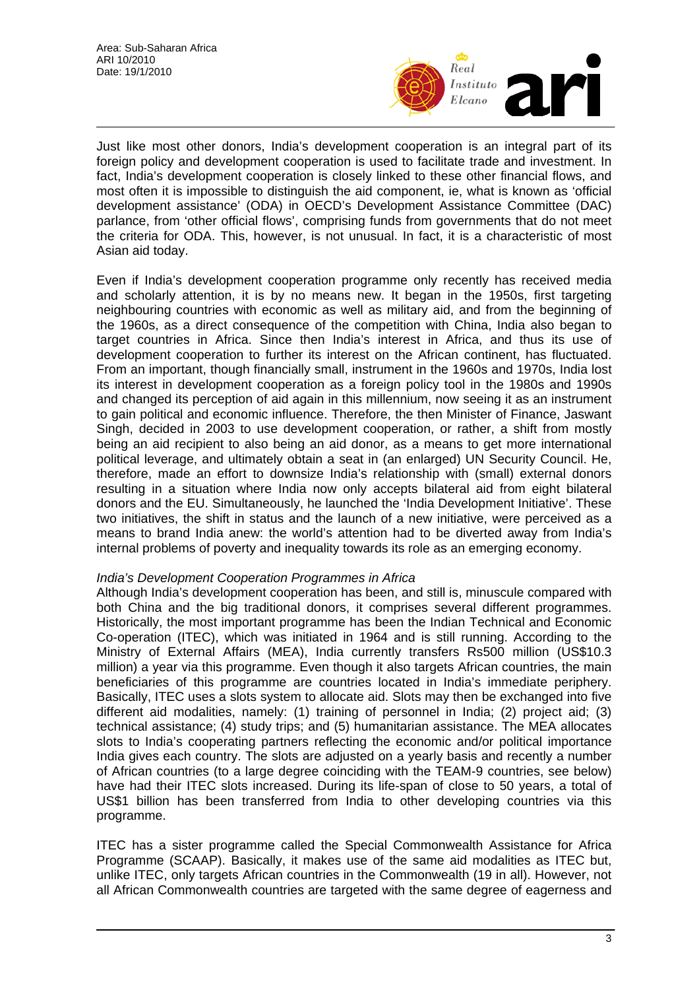

Just like most other donors, India's development cooperation is an integral part of its foreign policy and development cooperation is used to facilitate trade and investment. In fact, India's development cooperation is closely linked to these other financial flows, and most often it is impossible to distinguish the aid component, ie, what is known as 'official development assistance' (ODA) in OECD's Development Assistance Committee (DAC) parlance, from 'other official flows', comprising funds from governments that do not meet the criteria for ODA. This, however, is not unusual. In fact, it is a characteristic of most Asian aid today.

Even if India's development cooperation programme only recently has received media and scholarly attention, it is by no means new. It began in the 1950s, first targeting neighbouring countries with economic as well as military aid, and from the beginning of the 1960s, as a direct consequence of the competition with China, India also began to target countries in Africa. Since then India's interest in Africa, and thus its use of development cooperation to further its interest on the African continent, has fluctuated. From an important, though financially small, instrument in the 1960s and 1970s, India lost its interest in development cooperation as a foreign policy tool in the 1980s and 1990s and changed its perception of aid again in this millennium, now seeing it as an instrument to gain political and economic influence. Therefore, the then Minister of Finance, Jaswant Singh, decided in 2003 to use development cooperation, or rather, a shift from mostly being an aid recipient to also being an aid donor, as a means to get more international political leverage, and ultimately obtain a seat in (an enlarged) UN Security Council. He, therefore, made an effort to downsize India's relationship with (small) external donors resulting in a situation where India now only accepts bilateral aid from eight bilateral donors and the EU. Simultaneously, he launched the 'India Development Initiative'. These two initiatives, the shift in status and the launch of a new initiative, were perceived as a means to brand India anew: the world's attention had to be diverted away from India's internal problems of poverty and inequality towards its role as an emerging economy.

## *India's Development Cooperation Programmes in Africa*

Although India's development cooperation has been, and still is, minuscule compared with both China and the big traditional donors, it comprises several different programmes. Historically, the most important programme has been the Indian Technical and Economic Co-operation (ITEC), which was initiated in 1964 and is still running. According to the Ministry of External Affairs (MEA), India currently transfers Rs500 million (US\$10.3 million) a year via this programme. Even though it also targets African countries, the main beneficiaries of this programme are countries located in India's immediate periphery. Basically, ITEC uses a slots system to allocate aid. Slots may then be exchanged into five different aid modalities, namely: (1) training of personnel in India; (2) project aid; (3) technical assistance; (4) study trips; and (5) humanitarian assistance. The MEA allocates slots to India's cooperating partners reflecting the economic and/or political importance India gives each country. The slots are adjusted on a yearly basis and recently a number of African countries (to a large degree coinciding with the TEAM-9 countries, see below) have had their ITEC slots increased. During its life-span of close to 50 years, a total of US\$1 billion has been transferred from India to other developing countries via this programme.

ITEC has a sister programme called the Special Commonwealth Assistance for Africa Programme (SCAAP). Basically, it makes use of the same aid modalities as ITEC but, unlike ITEC, only targets African countries in the Commonwealth (19 in all). However, not all African Commonwealth countries are targeted with the same degree of eagerness and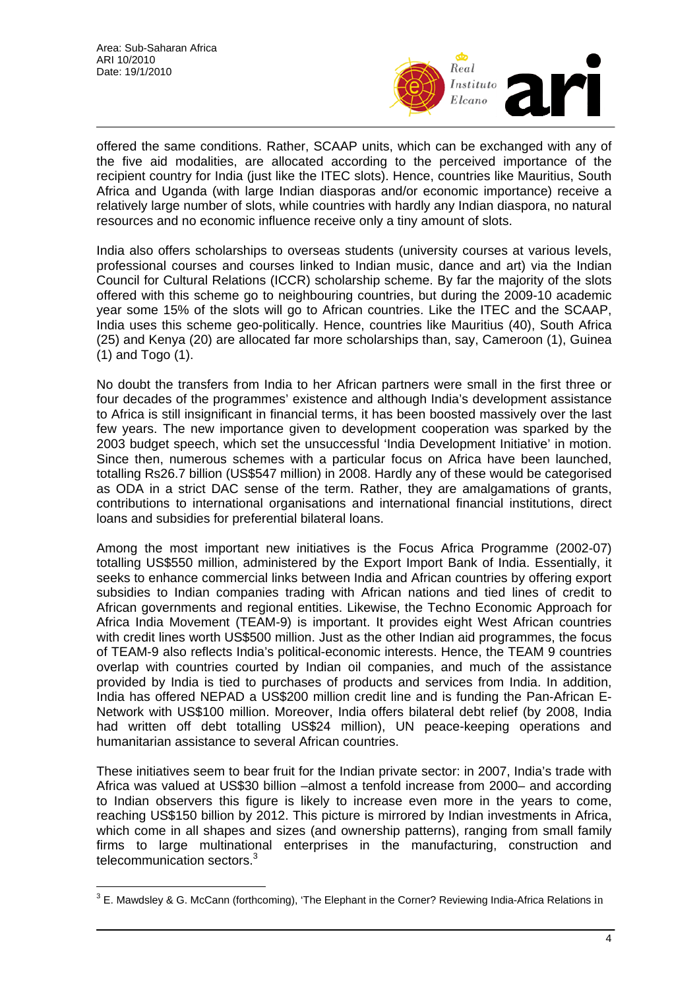$\overline{a}$ 



offered the same conditions. Rather, SCAAP units, which can be exchanged with any of the five aid modalities, are allocated according to the perceived importance of the recipient country for India (just like the ITEC slots). Hence, countries like Mauritius, South Africa and Uganda (with large Indian diasporas and/or economic importance) receive a relatively large number of slots, while countries with hardly any Indian diaspora, no natural resources and no economic influence receive only a tiny amount of slots.

India also offers scholarships to overseas students (university courses at various levels, professional courses and courses linked to Indian music, dance and art) via the Indian Council for Cultural Relations (ICCR) scholarship scheme. By far the majority of the slots offered with this scheme go to neighbouring countries, but during the 2009-10 academic year some 15% of the slots will go to African countries. Like the ITEC and the SCAAP, India uses this scheme geo-politically. Hence, countries like Mauritius (40), South Africa (25) and Kenya (20) are allocated far more scholarships than, say, Cameroon (1), Guinea  $(1)$  and Togo  $(1)$ .

No doubt the transfers from India to her African partners were small in the first three or four decades of the programmes' existence and although India's development assistance to Africa is still insignificant in financial terms, it has been boosted massively over the last few years. The new importance given to development cooperation was sparked by the 2003 budget speech, which set the unsuccessful 'India Development Initiative' in motion. Since then, numerous schemes with a particular focus on Africa have been launched, totalling Rs26.7 billion (US\$547 million) in 2008. Hardly any of these would be categorised as ODA in a strict DAC sense of the term. Rather, they are amalgamations of grants, contributions to international organisations and international financial institutions, direct loans and subsidies for preferential bilateral loans.

Among the most important new initiatives is the Focus Africa Programme (2002-07) totalling US\$550 million, administered by the Export Import Bank of India. Essentially, it seeks to enhance commercial links between India and African countries by offering export subsidies to Indian companies trading with African nations and tied lines of credit to African governments and regional entities. Likewise, the Techno Economic Approach for Africa India Movement (TEAM-9) is important. It provides eight West African countries with credit lines worth US\$500 million. Just as the other Indian aid programmes, the focus of TEAM-9 also reflects India's political-economic interests. Hence, the TEAM 9 countries overlap with countries courted by Indian oil companies, and much of the assistance provided by India is tied to purchases of products and services from India. In addition, India has offered NEPAD a US\$200 million credit line and is funding the Pan-African E-Network with US\$100 million. Moreover, India offers bilateral debt relief (by 2008, India had written off debt totalling US\$24 million), UN peace-keeping operations and humanitarian assistance to several African countries.

These initiatives seem to bear fruit for the Indian private sector: in 2007, India's trade with Africa was valued at US\$30 billion –almost a tenfold increase from 2000– and according to Indian observers this figure is likely to increase even more in the years to come, reaching US\$150 billion by 2012. This picture is mirrored by Indian investments in Africa, which come in all shapes and sizes (and ownership patterns), ranging from small family firms to large multinational enterprises in the manufacturing, construction and telecommunication sectors.<sup>[3](#page-3-0)</sup>

<span id="page-3-0"></span> $^3$  E. Mawdsley & G. McCann (forthcoming), 'The Elephant in the Corner? Reviewing India-Africa Relations in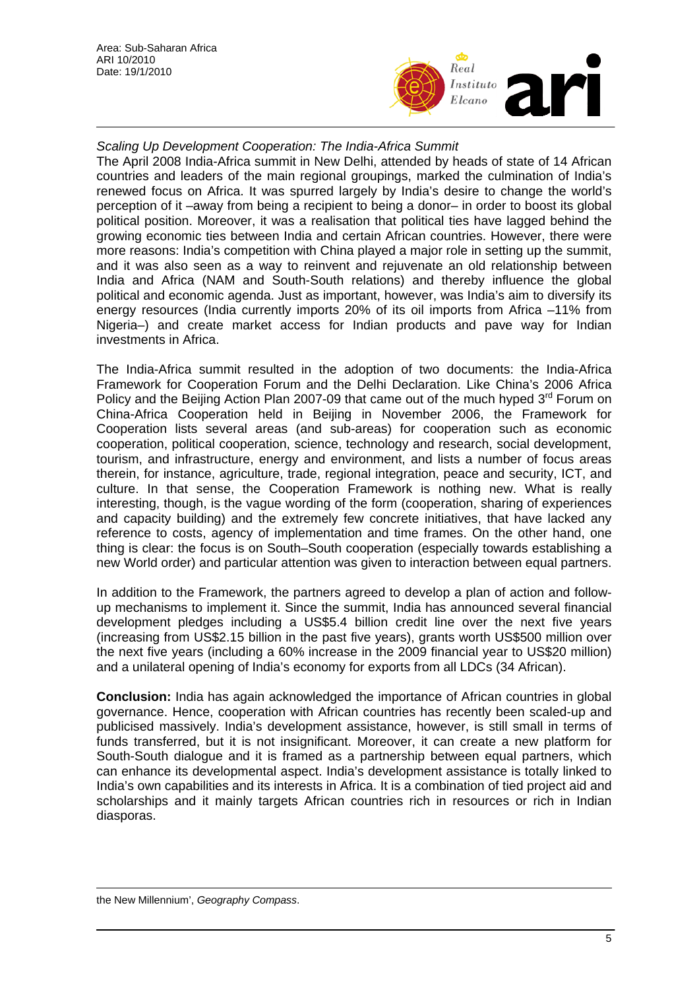

## *Scaling Up Development Cooperation: The India-Africa Summit*

The April 2008 India-Africa summit in New Delhi, attended by heads of state of 14 African countries and leaders of the main regional groupings, marked the culmination of India's renewed focus on Africa. It was spurred largely by India's desire to change the world's perception of it –away from being a recipient to being a donor– in order to boost its global political position. Moreover, it was a realisation that political ties have lagged behind the growing economic ties between India and certain African countries. However, there were more reasons: India's competition with China played a major role in setting up the summit, and it was also seen as a way to reinvent and rejuvenate an old relationship between India and Africa (NAM and South-South relations) and thereby influence the global political and economic agenda. Just as important, however, was India's aim to diversify its energy resources (India currently imports 20% of its oil imports from Africa –11% from Nigeria–) and create market access for Indian products and pave way for Indian investments in Africa.

The India-Africa summit resulted in the adoption of two documents: the India-Africa Framework for Cooperation Forum and the Delhi Declaration. Like China's 2006 Africa Policy and the Beijing Action Plan 2007-09 that came out of the much hyped 3<sup>rd</sup> Forum on China-Africa Cooperation held in Beijing in November 2006, the Framework for Cooperation lists several areas (and sub-areas) for cooperation such as economic cooperation, political cooperation, science, technology and research, social development, tourism, and infrastructure, energy and environment, and lists a number of focus areas therein, for instance, agriculture, trade, regional integration, peace and security, ICT, and culture. In that sense, the Cooperation Framework is nothing new. What is really interesting, though, is the vague wording of the form (cooperation, sharing of experiences and capacity building) and the extremely few concrete initiatives, that have lacked any reference to costs, agency of implementation and time frames. On the other hand, one thing is clear: the focus is on South–South cooperation (especially towards establishing a new World order) and particular attention was given to interaction between equal partners.

In addition to the Framework, the partners agreed to develop a plan of action and followup mechanisms to implement it. Since the summit, India has announced several financial development pledges including a US\$5.4 billion credit line over the next five years (increasing from US\$2.15 billion in the past five years), grants worth US\$500 million over the next five years (including a 60% increase in the 2009 financial year to US\$20 million) and a unilateral opening of India's economy for exports from all LDCs (34 African).

**Conclusion:** India has again acknowledged the importance of African countries in global governance. Hence, cooperation with African countries has recently been scaled-up and publicised massively. India's development assistance, however, is still small in terms of funds transferred, but it is not insignificant. Moreover, it can create a new platform for South-South dialogue and it is framed as a partnership between equal partners, which can enhance its developmental aspect. India's development assistance is totally linked to India's own capabilities and its interests in Africa. It is a combination of tied project aid and scholarships and it mainly targets African countries rich in resources or rich in Indian diasporas.